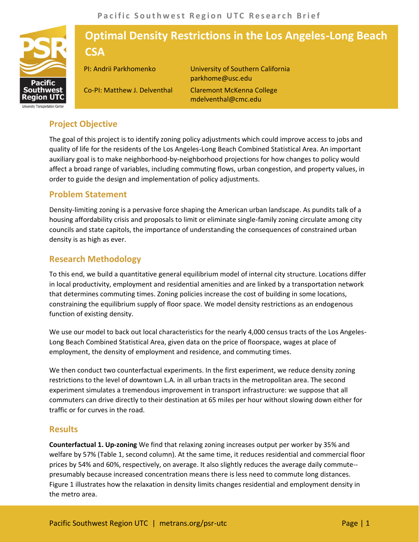

# **Optimal Density Restrictions in the Los Angeles-Long Beach CSA**

Co-PI: Matthew J. Delventhal

PI: Andrii Parkhomenko University of Southern California parkhome@usc.edu Claremont McKenna College mdelventhal@cmc.edu

# **Project Objective**

The goal of this project is to identify zoning policy adjustments which could improve access to jobs and quality of life for the residents of the Los Angeles-Long Beach Combined Statistical Area. An important auxiliary goal is to make neighborhood-by-neighborhood projections for how changes to policy would affect a broad range of variables, including commuting flows, urban congestion, and property values, in order to guide the design and implementation of policy adjustments.

## **Problem Statement**

Density-limiting zoning is a pervasive force shaping the American urban landscape. As pundits talk of a housing affordability crisis and proposals to limit or eliminate single-family zoning circulate among city councils and state capitols, the importance of understanding the consequences of constrained urban density is as high as ever.

## **Research Methodology**

To this end, we build a quantitative general equilibrium model of internal city structure. Locations differ in local productivity, employment and residential amenities and are linked by a transportation network that determines commuting times. Zoning policies increase the cost of building in some locations, constraining the equilibrium supply of floor space. We model density restrictions as an endogenous function of existing density.

We use our model to back out local characteristics for the nearly 4,000 census tracts of the Los Angeles-Long Beach Combined Statistical Area, given data on the price of floorspace, wages at place of employment, the density of employment and residence, and commuting times.

We then conduct two counterfactual experiments. In the first experiment, we reduce density zoning restrictions to the level of downtown L.A. in all urban tracts in the metropolitan area. The second experiment simulates a tremendous improvement in transport infrastructure: we suppose that all commuters can drive directly to their destination at 65 miles per hour without slowing down either for traffic or for curves in the road.

#### **Results**

**Counterfactual 1. Up-zoning** We find that relaxing zoning increases output per worker by 35% and welfare by 57% (Table 1, second column). At the same time, it reduces residential and commercial floor prices by 54% and 60%, respectively, on average. It also slightly reduces the average daily commute- presumably because increased concentration means there is less need to commute long distances. Figure 1 illustrates how the relaxation in density limits changes residential and employment density in the metro area.